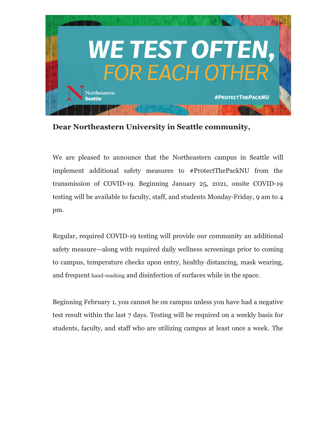

**Dear Northeastern University in Seattle community,** 

We are pleased to announce that the Northeastern campus in Seattle will implement additional safety measures to #ProtectThePackNU from the transmission of COVID-19. Beginning January 25, 2021, onsite COVID-19 testing will be available to faculty, staff, and students Monday-Friday, 9 am to 4 pm.

Regular, required COVID-19 testing will provide our community an additional safety measure—along with required daily wellness screenings prior to coming to campus, temperature checks upon entry, healthy distancing, mask wearing, and frequent hand-washing and disinfection of surfaces while in the space.

Beginning February 1, you cannot be on campus unless you have had a negative test result within the last 7 days. Testing will be required on a weekly basis for students, faculty, and staff who are utilizing campus at least once a week. The